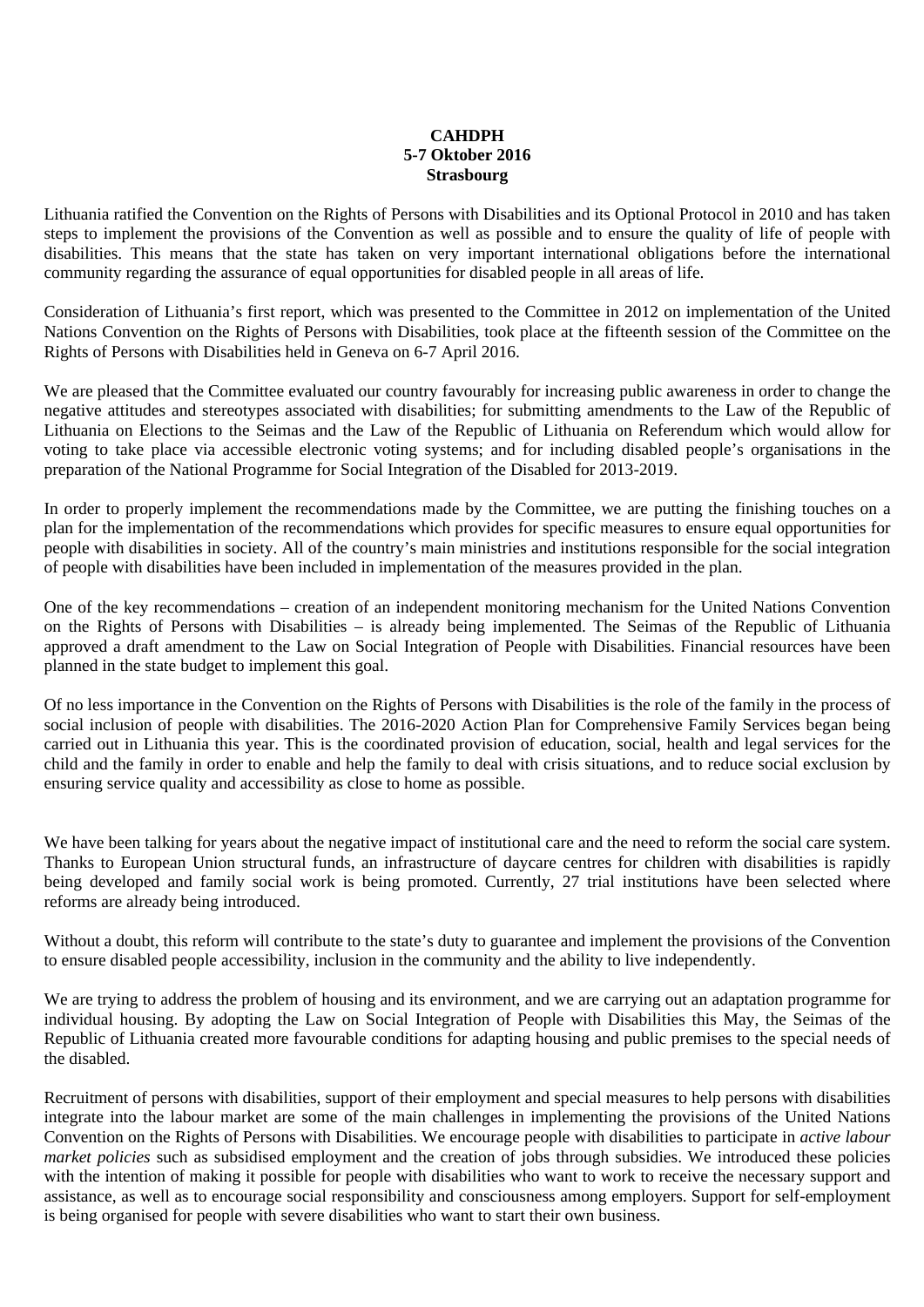## **CAHDPH 5-7 Oktober 2016 Strasbourg**

Lithuania ratified the Convention on the Rights of Persons with Disabilities and its Optional Protocol in 2010 and has taken steps to implement the provisions of the Convention as well as possible and to ensure the quality of life of people with disabilities. This means that the state has taken on very important international obligations before the international community regarding the assurance of equal opportunities for disabled people in all areas of life.

Consideration of Lithuania's first report, which was presented to the Committee in 2012 on implementation of the United Nations Convention on the Rights of Persons with Disabilities, took place at the fifteenth session of the Committee on the Rights of Persons with Disabilities held in Geneva on 6-7 April 2016.

We are pleased that the Committee evaluated our country favourably for increasing public awareness in order to change the negative attitudes and stereotypes associated with disabilities; for submitting amendments to the Law of the Republic of Lithuania on Elections to the Seimas and the Law of the Republic of Lithuania on Referendum which would allow for voting to take place via accessible electronic voting systems; and for including disabled people's organisations in the preparation of the National Programme for Social Integration of the Disabled for 2013-2019.

In order to properly implement the recommendations made by the Committee, we are putting the finishing touches on a plan for the implementation of the recommendations which provides for specific measures to ensure equal opportunities for people with disabilities in society. All of the country's main ministries and institutions responsible for the social integration of people with disabilities have been included in implementation of the measures provided in the plan.

One of the key recommendations – creation of an independent monitoring mechanism for the United Nations Convention on the Rights of Persons with Disabilities – is already being implemented. The Seimas of the Republic of Lithuania approved a draft amendment to the Law on Social Integration of People with Disabilities. Financial resources have been planned in the state budget to implement this goal.

Of no less importance in the Convention on the Rights of Persons with Disabilities is the role of the family in the process of social inclusion of people with disabilities. The 2016-2020 Action Plan for Comprehensive Family Services began being carried out in Lithuania this year. This is the coordinated provision of education, social, health and legal services for the child and the family in order to enable and help the family to deal with crisis situations, and to reduce social exclusion by ensuring service quality and accessibility as close to home as possible.

We have been talking for years about the negative impact of institutional care and the need to reform the social care system. Thanks to European Union structural funds, an infrastructure of daycare centres for children with disabilities is rapidly being developed and family social work is being promoted. Currently, 27 trial institutions have been selected where reforms are already being introduced.

Without a doubt, this reform will contribute to the state's duty to guarantee and implement the provisions of the Convention to ensure disabled people accessibility, inclusion in the community and the ability to live independently.

We are trying to address the problem of housing and its environment, and we are carrying out an adaptation programme for individual housing. By adopting the Law on Social Integration of People with Disabilities this May, the Seimas of the Republic of Lithuania created more favourable conditions for adapting housing and public premises to the special needs of the disabled.

Recruitment of persons with disabilities, support of their employment and special measures to help persons with disabilities integrate into the labour market are some of the main challenges in implementing the provisions of the United Nations Convention on the Rights of Persons with Disabilities. We encourage people with disabilities to participate in *active labour market policies* such as subsidised employment and the creation of jobs through subsidies. We introduced these policies with the intention of making it possible for people with disabilities who want to work to receive the necessary support and assistance, as well as to encourage social responsibility and consciousness among employers. Support for self-employment is being organised for people with severe disabilities who want to start their own business.